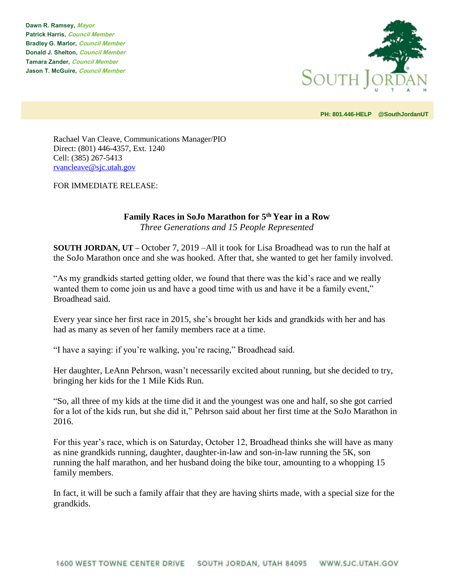**Dawn R. Ramsey, Mayor Patrick Harris, Council Member Bradley G. Marlor, Council Member Donald J. Shelton, Council Member Tamara Zander, Council Member Jason T. McGuire, Council Member**



**PH: 801.446-HELP @SouthJordanUT** 

Rachael Van Cleave, Communications Manager/PIO Direct: (801) 446-4357, Ext. 1240 Cell: (385) 267-5413 [rvancleave@sjc.utah.gov](mailto:rvancleave@sjc.utah.gov)

FOR IMMEDIATE RELEASE:

## **Family Races in SoJo Marathon for 5th Year in a Row** *Three Generations and 15 People Represented*

**SOUTH JORDAN, UT –** October 7, 2019 –All it took for Lisa Broadhead was to run the half at the SoJo Marathon once and she was hooked. After that, she wanted to get her family involved.

"As my grandkids started getting older, we found that there was the kid's race and we really wanted them to come join us and have a good time with us and have it be a family event," Broadhead said.

Every year since her first race in 2015, she's brought her kids and grandkids with her and has had as many as seven of her family members race at a time.

"I have a saying: if you're walking, you're racing," Broadhead said.

Her daughter, LeAnn Pehrson, wasn't necessarily excited about running, but she decided to try, bringing her kids for the 1 Mile Kids Run.

"So, all three of my kids at the time did it and the youngest was one and half, so she got carried for a lot of the kids run, but she did it," Pehrson said about her first time at the SoJo Marathon in 2016.

For this year's race, which is on Saturday, October 12, Broadhead thinks she will have as many as nine grandkids running, daughter, daughter-in-law and son-in-law running the 5K, son running the half marathon, and her husband doing the bike tour, amounting to a whopping 15 family members.

In fact, it will be such a family affair that they are having shirts made, with a special size for the grandkids.